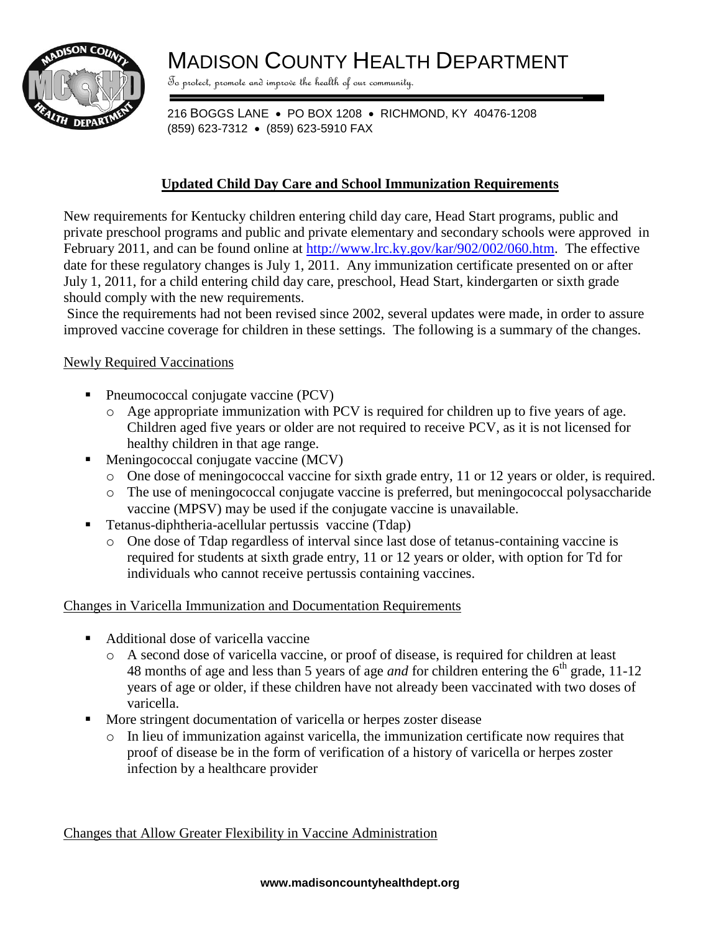

# MADISON COUNTY HEALTH DEPARTMENT

To protect, promote and improve the health of our community.

216 BOGGS LANE • PO BOX 1208 • RICHMOND, KY 40476-1208 (859) 623-7312 · (859) 623-5910 FAX

### **Updated Child Day Care and School Immunization Requirements**

New requirements for Kentucky children entering child day care, Head Start programs, public and private preschool programs and public and private elementary and secondary schools were approved in February 2011, and can be found online at [http://www.lrc.ky.gov/kar/902/002/060.htm.](http://www.lrc.ky.gov/kar/902/002/060.htm) The effective date for these regulatory changes is July 1, 2011. Any immunization certificate presented on or after July 1, 2011, for a child entering child day care, preschool, Head Start, kindergarten or sixth grade should comply with the new requirements.

Since the requirements had not been revised since 2002, several updates were made, in order to assure improved vaccine coverage for children in these settings. The following is a summary of the changes.

#### Newly Required Vaccinations

- Pneumococcal conjugate vaccine (PCV)
	- o Age appropriate immunization with PCV is required for children up to five years of age. Children aged five years or older are not required to receive PCV, as it is not licensed for healthy children in that age range.
- Meningococcal conjugate vaccine (MCV)
	- o One dose of meningococcal vaccine for sixth grade entry, 11 or 12 years or older, is required.
	- o The use of meningococcal conjugate vaccine is preferred, but meningococcal polysaccharide vaccine (MPSV) may be used if the conjugate vaccine is unavailable.
- Tetanus-diphtheria-acellular pertussis vaccine (Tdap)
	- o One dose of Tdap regardless of interval since last dose of tetanus-containing vaccine is required for students at sixth grade entry, 11 or 12 years or older, with option for Td for individuals who cannot receive pertussis containing vaccines.

#### Changes in Varicella Immunization and Documentation Requirements

- Additional dose of varicella vaccine
	- o A second dose of varicella vaccine, or proof of disease, is required for children at least 48 months of age and less than 5 years of age *and* for children entering the 6<sup>th</sup> grade, 11-12 years of age or older, if these children have not already been vaccinated with two doses of varicella.
- More stringent documentation of varicella or herpes zoster disease
	- $\circ$  In lieu of immunization against varicella, the immunization certificate now requires that proof of disease be in the form of verification of a history of varicella or herpes zoster infection by a healthcare provider

Changes that Allow Greater Flexibility in Vaccine Administration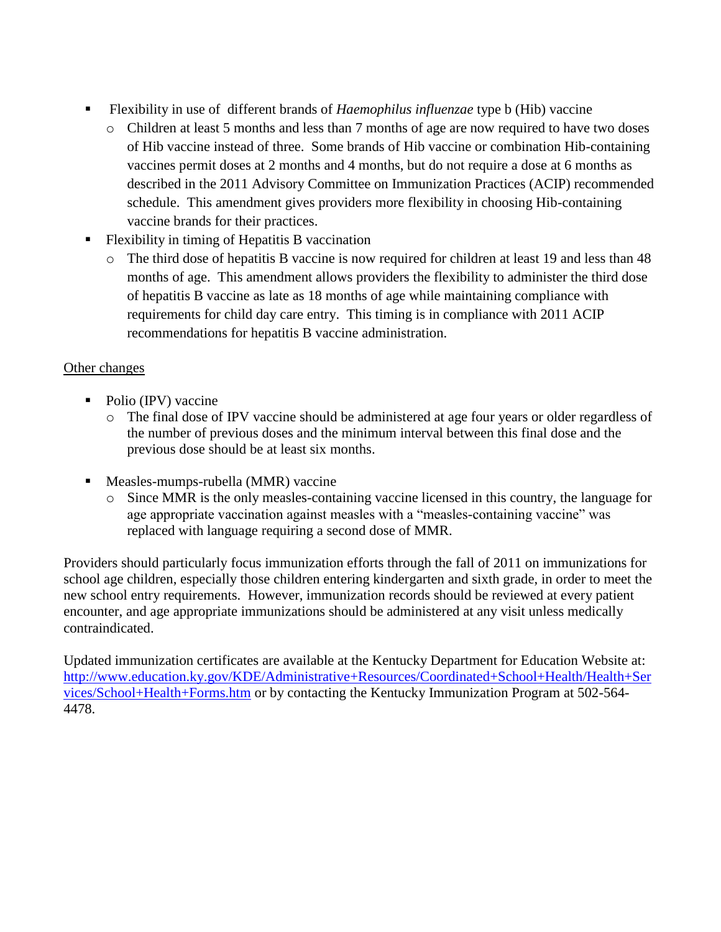- Flexibility in use of different brands of *Haemophilus influenzae* type b (Hib) vaccine
	- o Children at least 5 months and less than 7 months of age are now required to have two doses of Hib vaccine instead of three. Some brands of Hib vaccine or combination Hib-containing vaccines permit doses at 2 months and 4 months, but do not require a dose at 6 months as described in the 2011 Advisory Committee on Immunization Practices (ACIP) recommended schedule. This amendment gives providers more flexibility in choosing Hib-containing vaccine brands for their practices.
- Flexibility in timing of Hepatitis B vaccination
	- o The third dose of hepatitis B vaccine is now required for children at least 19 and less than 48 months of age. This amendment allows providers the flexibility to administer the third dose of hepatitis B vaccine as late as 18 months of age while maintaining compliance with requirements for child day care entry. This timing is in compliance with 2011 ACIP recommendations for hepatitis B vaccine administration.

## Other changes

- Polio (IPV) vaccine
	- o The final dose of IPV vaccine should be administered at age four years or older regardless of the number of previous doses and the minimum interval between this final dose and the previous dose should be at least six months.
- Measles-mumps-rubella (MMR) vaccine
	- o Since MMR is the only measles-containing vaccine licensed in this country, the language for age appropriate vaccination against measles with a "measles-containing vaccine" was replaced with language requiring a second dose of MMR.

Providers should particularly focus immunization efforts through the fall of 2011 on immunizations for school age children, especially those children entering kindergarten and sixth grade, in order to meet the new school entry requirements. However, immunization records should be reviewed at every patient encounter, and age appropriate immunizations should be administered at any visit unless medically contraindicated.

Updated immunization certificates are available at the Kentucky Department for Education Website at: [http://www.education.ky.gov/KDE/Administrative+Resources/Coordinated+School+Health/Health+Ser](http://www.education.ky.gov/KDE/Administrative+Resources/Coordinated+School+Health/Health+Services/School+Health+Forms.htm) [vices/School+Health+Forms.htm](http://www.education.ky.gov/KDE/Administrative+Resources/Coordinated+School+Health/Health+Services/School+Health+Forms.htm) or by contacting the Kentucky Immunization Program at 502-564- 4478.